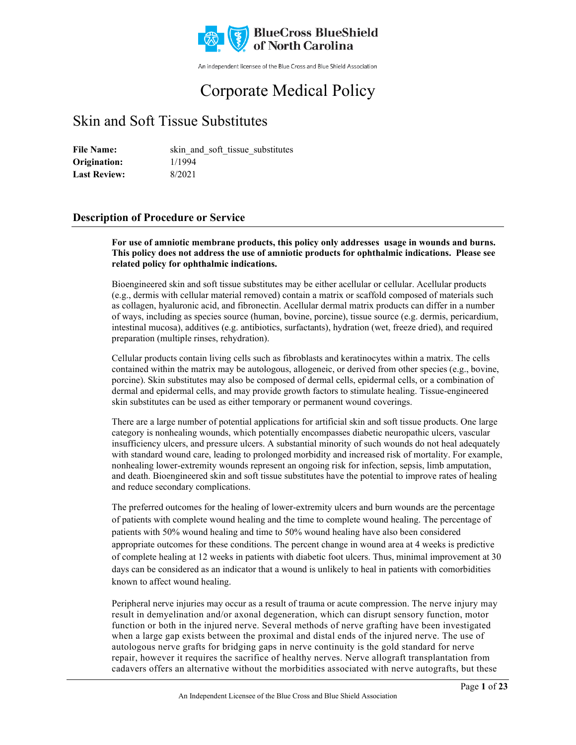

An independent licensee of the Blue Cross and Blue Shield Association

# Corporate Medical Policy

# Skin and Soft Tissue Substitutes

File Name: skin and soft tissue substitutes 1/1994 8/2021 **Origination: Last Review:**

# **Description of Procedure or Service**

**For use of amniotic membrane products, this policy only addresses usage in wounds and burns. This policy does not address the use of amniotic products for ophthalmic indications. Please see related policy for ophthalmic indications.**

Bioengineered skin and soft tissue substitutes may be either acellular or cellular. Acellular products (e.g., dermis with cellular material removed) contain a matrix or scaffold composed of materials such as collagen, hyaluronic acid, and fibronectin. Acellular dermal matrix products can differ in a number of ways, including as species source (human, bovine, porcine), tissue source (e.g. dermis, pericardium, intestinal mucosa), additives (e.g. antibiotics, surfactants), hydration (wet, freeze dried), and required preparation (multiple rinses, rehydration).

Cellular products contain living cells such as fibroblasts and keratinocytes within a matrix. The cells contained within the matrix may be autologous, allogeneic, or derived from other species (e.g., bovine, porcine). Skin substitutes may also be composed of dermal cells, epidermal cells, or a combination of dermal and epidermal cells, and may provide growth factors to stimulate healing. Tissue-engineered skin substitutes can be used as either temporary or permanent wound coverings.

There are a large number of potential applications for artificial skin and soft tissue products. One large category is nonhealing wounds, which potentially encompasses diabetic neuropathic ulcers, vascular insufficiency ulcers, and pressure ulcers. A substantial minority of such wounds do not heal adequately with standard wound care, leading to prolonged morbidity and increased risk of mortality. For example, nonhealing lower-extremity wounds represent an ongoing risk for infection, sepsis, limb amputation, and death. Bioengineered skin and soft tissue substitutes have the potential to improve rates of healing and reduce secondary complications.

The preferred outcomes for the healing of lower-extremity ulcers and burn wounds are the percentage of patients with complete wound healing and the time to complete wound healing. The percentage of patients with 50% wound healing and time to 50% wound healing have also been considered appropriate outcomes for these conditions. The percent change in wound area at 4 weeks is predictive of complete healing at 12 weeks in patients with diabetic foot ulcers. Thus, minimal improvement at 30 days can be considered as an indicator that a wound is unlikely to heal in patients with comorbidities known to affect wound healing.

Peripheral nerve injuries may occur as a result of trauma or acute compression. The nerve injury may result in demyelination and/or axonal degeneration, which can disrupt sensory function, motor function or both in the injured nerve. Several methods of nerve grafting have been investigated when a large gap exists between the proximal and distal ends of the injured nerve. The use of autologous nerve grafts for bridging gaps in nerve continuity is the gold standard for nerve repair, however it requires the sacrifice of healthy nerves. Nerve allograft transplantation from cadavers offers an alternative without the morbidities associated with nerve autografts, but these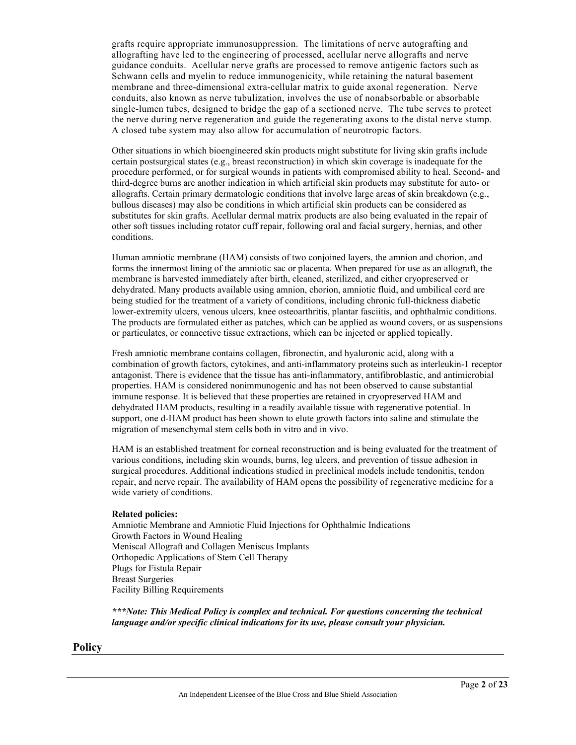grafts require appropriate immunosuppression. The limitations of nerve autografting and allografting have led to the engineering of processed, acellular nerve allografts and nerve guidance conduits. Acellular nerve grafts are processed to remove antigenic factors such as Schwann cells and myelin to reduce immunogenicity, while retaining the natural basement membrane and three-dimensional extra-cellular matrix to guide axonal regeneration. Nerve conduits, also known as nerve tubulization, involves the use of nonabsorbable or absorbable single-lumen tubes, designed to bridge the gap of a sectioned nerve. The tube serves to protect the nerve during nerve regeneration and guide the regenerating axons to the distal nerve stump. A closed tube system may also allow for accumulation of neurotropic factors.

Other situations in which bioengineered skin products might substitute for living skin grafts include certain postsurgical states (e.g., breast reconstruction) in which skin coverage is inadequate for the procedure performed, or for surgical wounds in patients with compromised ability to heal. Second- and third-degree burns are another indication in which artificial skin products may substitute for auto- or allografts. Certain primary dermatologic conditions that involve large areas of skin breakdown (e.g., bullous diseases) may also be conditions in which artificial skin products can be considered as substitutes for skin grafts. Acellular dermal matrix products are also being evaluated in the repair of other soft tissues including rotator cuff repair, following oral and facial surgery, hernias, and other conditions.

Human amniotic membrane (HAM) consists of two conjoined layers, the amnion and chorion, and forms the innermost lining of the amniotic sac or placenta. When prepared for use as an allograft, the membrane is harvested immediately after birth, cleaned, sterilized, and either cryopreserved or dehydrated. Many products available using amnion, chorion, amniotic fluid, and umbilical cord are being studied for the treatment of a variety of conditions, including chronic full-thickness diabetic lower-extremity ulcers, venous ulcers, knee osteoarthritis, plantar fasciitis, and ophthalmic conditions. The products are formulated either as patches, which can be applied as wound covers, or as suspensions or particulates, or connective tissue extractions, which can be injected or applied topically.

Fresh amniotic membrane contains collagen, fibronectin, and hyaluronic acid, along with a combination of growth factors, cytokines, and anti-inflammatory proteins such as interleukin-1 receptor antagonist. There is evidence that the tissue has anti-inflammatory, antifibroblastic, and antimicrobial properties. HAM is considered nonimmunogenic and has not been observed to cause substantial immune response. It is believed that these properties are retained in cryopreserved HAM and dehydrated HAM products, resulting in a readily available tissue with regenerative potential. In support, one d-HAM product has been shown to elute growth factors into saline and stimulate the migration of mesenchymal stem cells both in vitro and in vivo.

HAM is an established treatment for corneal reconstruction and is being evaluated for the treatment of various conditions, including skin wounds, burns, leg ulcers, and prevention of tissue adhesion in surgical procedures. Additional indications studied in preclinical models include tendonitis, tendon repair, and nerve repair. The availability of HAM opens the possibility of regenerative medicine for a wide variety of conditions.

#### **Related policies:**

Amniotic Membrane and Amniotic Fluid Injections for Ophthalmic Indications Growth Factors in Wound Healing Meniscal Allograft and Collagen Meniscus Implants Orthopedic Applications of Stem Cell Therapy Plugs for Fistula Repair Breast Surgeries Facility Billing Requirements

*\*\*\*Note: This Medical Policy is complex and technical. For questions concerning the technical language and/or specific clinical indications for its use, please consult your physician.*

#### **Policy**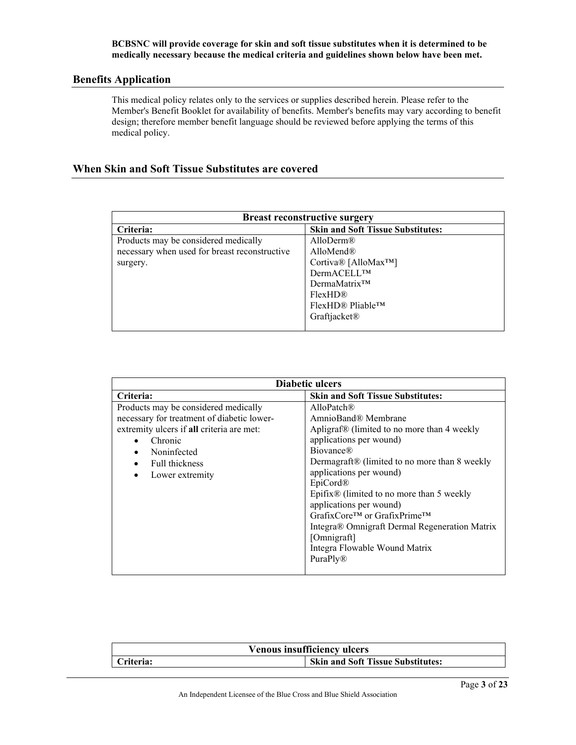#### **BCBSNC will provide coverage for skin and soft tissue substitutes when it is determined to be medically necessary because the medical criteria and guidelines shown below have been met.**

#### **Benefits Application**

This medical policy relates only to the services or supplies described herein. Please refer to the Member's Benefit Booklet for availability of benefits. Member's benefits may vary according to benefit design; therefore member benefit language should be reviewed before applying the terms of this medical policy.

# **When Skin and Soft Tissue Substitutes are covered**

| <b>Breast reconstructive surgery</b>          |                                          |
|-----------------------------------------------|------------------------------------------|
| Criteria:                                     | <b>Skin and Soft Tissue Substitutes:</b> |
| Products may be considered medically          | AlloDerm $\mathbb{R}$                    |
| necessary when used for breast reconstructive | AlloMend®                                |
| surgery.                                      | Cortiva® [AlloMax <sup>TM</sup> ]        |
|                                               | DermACELL™                               |
|                                               | $DermaMatrix^{TM}$                       |
|                                               | FlexHD <sup>®</sup>                      |
|                                               | $FlexHDR$ Pliable <sup>TM</sup>          |
|                                               | Graftjacket®                             |
|                                               |                                          |

| Diabetic ulcers                                                                                                                                                                                             |                                                                                                                                                                                                                                                                                                                                                                                                                                                                      |
|-------------------------------------------------------------------------------------------------------------------------------------------------------------------------------------------------------------|----------------------------------------------------------------------------------------------------------------------------------------------------------------------------------------------------------------------------------------------------------------------------------------------------------------------------------------------------------------------------------------------------------------------------------------------------------------------|
| Criteria:                                                                                                                                                                                                   | <b>Skin and Soft Tissue Substitutes:</b>                                                                                                                                                                                                                                                                                                                                                                                                                             |
| Products may be considered medically<br>necessary for treatment of diabetic lower-<br>extremity ulcers if all criteria are met:<br>Chronic<br>Noninfected<br>Full thickness<br>Lower extremity<br>$\bullet$ | AlloPatch <sup>®</sup><br>AmnioBand® Membrane<br>Apligraf® (limited to no more than 4 weekly<br>applications per wound)<br><b>Biovance</b> ®<br>Dermagraft <sup>®</sup> (limited to no more than 8 weekly<br>applications per wound)<br>EpiCord®<br>Epifix® (limited to no more than 5 weekly<br>applications per wound)<br>GrafixCore™ or GrafixPrime™<br>Integra® Omnigraft Dermal Regeneration Matrix<br>[Omnigraft]<br>Integra Flowable Wound Matrix<br>PuraPly® |
|                                                                                                                                                                                                             |                                                                                                                                                                                                                                                                                                                                                                                                                                                                      |

| <b>Venous insufficiency ulcers</b> |                                          |
|------------------------------------|------------------------------------------|
| Criteria:                          | <b>Skin and Soft Tissue Substitutes:</b> |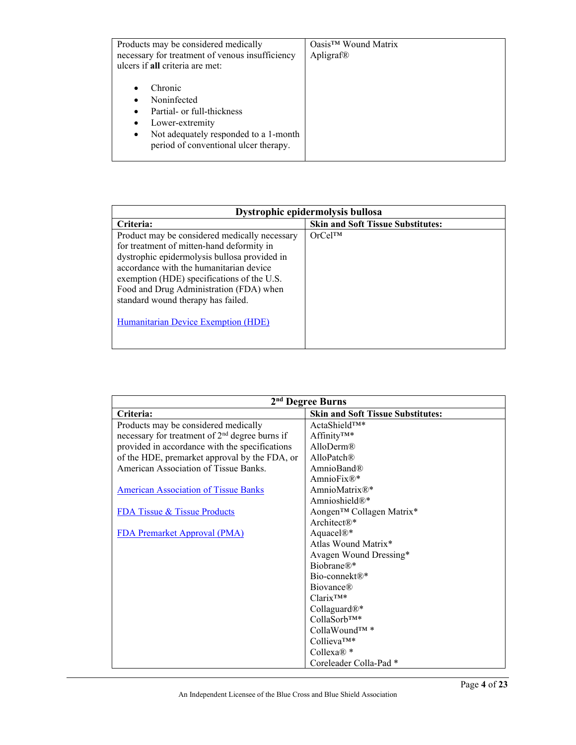| Products may be considered medically<br>necessary for treatment of venous insufficiency<br>ulcers if all criteria are met:                                                                       | $Oasis^{TM}$ Wound Matrix<br>Apligraf® |
|--------------------------------------------------------------------------------------------------------------------------------------------------------------------------------------------------|----------------------------------------|
| Chronic<br>Noninfected<br>Partial- or full-thickness<br>$\bullet$<br>Lower-extremity<br>$\bullet$<br>Not adequately responded to a 1-month<br>$\bullet$<br>period of conventional ulcer therapy. |                                        |

| Dystrophic epidermolysis bullosa                                                                                                                                                                                                                                                                                                                                   |                                          |
|--------------------------------------------------------------------------------------------------------------------------------------------------------------------------------------------------------------------------------------------------------------------------------------------------------------------------------------------------------------------|------------------------------------------|
| Criteria:                                                                                                                                                                                                                                                                                                                                                          | <b>Skin and Soft Tissue Substitutes:</b> |
| Product may be considered medically necessary<br>for treatment of mitten-hand deformity in<br>dystrophic epidermolysis bullosa provided in<br>accordance with the humanitarian device<br>exemption (HDE) specifications of the U.S.<br>Food and Drug Administration (FDA) when<br>standard wound therapy has failed.<br><b>Humanitarian Device Exemption (HDE)</b> | OrCe <sup>TM</sup>                       |

| 2 <sup>nd</sup> Degree Burns                               |                                          |
|------------------------------------------------------------|------------------------------------------|
| Criteria:                                                  | <b>Skin and Soft Tissue Substitutes:</b> |
| Products may be considered medically                       | ActaShield <sup>TM*</sup>                |
| necessary for treatment of 2 <sup>nd</sup> degree burns if | Affinity <sup>TM*</sup>                  |
| provided in accordance with the specifications             | AlloDerm@                                |
| of the HDE, premarket approval by the FDA, or              | AlloPatch $\mathbb R$                    |
| American Association of Tissue Banks.                      | AmnioBand®                               |
|                                                            | AmnioFix $\mathbb{R}^*$                  |
| <b>American Association of Tissue Banks</b>                | AmnioMatrix $\mathbb{R}^*$               |
|                                                            | Amnioshield $\mathbb{R}^*$               |
| <b>FDA Tissue &amp; Tissue Products</b>                    | Aongen™ Collagen Matrix*                 |
|                                                            | Architect $\mathbb{R}^*$                 |
| <b>FDA Premarket Approval (PMA)</b>                        | Aquacel <sup>®*</sup>                    |
|                                                            | Atlas Wound Matrix*                      |
|                                                            | Avagen Wound Dressing*                   |
|                                                            | $Biobrane@*$                             |
|                                                            | Bio-connekt $\mathbb{R}^*$               |
|                                                            | <b>Biovance</b> ®                        |
|                                                            | $Clarix^{TM*}$                           |
|                                                            | Collaguard $\mathbb{R}^*$                |
|                                                            | $CollaSort^{TM*}$                        |
|                                                            | CollaWound™ *                            |
|                                                            | Collieva <sup>TM*</sup>                  |
|                                                            | Collexa $\mathbb{R}^*$                   |
|                                                            | Coreleader Colla-Pad*                    |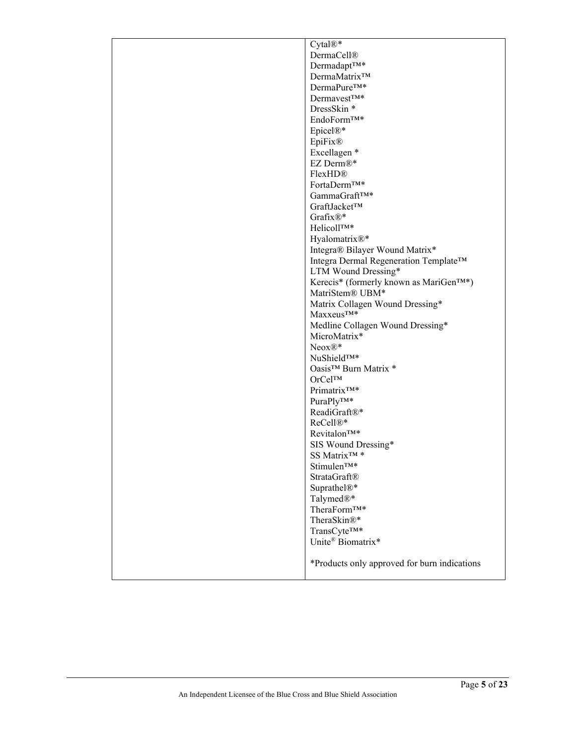| Cytal®*                                             |
|-----------------------------------------------------|
|                                                     |
| <b>DermaCell®</b>                                   |
| Dermadapt <sup>TM*</sup>                            |
| DermaMatrix <sup>™</sup>                            |
| DermaPure <sup>TM*</sup>                            |
| Dermavest <sup>TM*</sup>                            |
| DressSkin*                                          |
| EndoForm <sup>TM*</sup>                             |
| Epicel®*                                            |
| EpiFix®                                             |
| Excellagen *                                        |
| EZ Derm®*                                           |
| FlexHD <sup>®</sup>                                 |
| FortaDerm <sup>TM*</sup>                            |
| GammaGraftTM*                                       |
| GraftJacket™                                        |
| Grafix $\mathbb{R}^*$                               |
| Helicoll <sup>TM*</sup>                             |
| Hyalomatrix®*                                       |
| Integra® Bilayer Wound Matrix*                      |
| Integra Dermal Regeneration Template™               |
| LTM Wound Dressing*                                 |
| Kerecis* (formerly known as MariGen <sup>TM*)</sup> |
| MatriStem® UBM*                                     |
| Matrix Collagen Wound Dressing*                     |
| $Maxxeus^{TM*}$                                     |
| Medline Collagen Wound Dressing*                    |
| MicroMatrix*                                        |
| $Neox@*$                                            |
| NuShield <sup>TM*</sup>                             |
| Oasis™ Burn Matrix *                                |
| OrCel™                                              |
| Primatrix <sup>TM*</sup>                            |
| $\mathrm{Pura} \mathrm{Ply^{TM*}}$                  |
|                                                     |
| ReadiGraft®*                                        |
| ReCell <sup>®*</sup>                                |
| Revitalon <sup>TM*</sup>                            |
| SIS Wound Dressing*                                 |
| SS Matrix <sup>™</sup> *                            |
| Stimulen <sup>TM*</sup>                             |
| StrataGraft®                                        |
| Suprathel®*                                         |
| Talymed $\mathbb{R}^*$                              |
| TheraForm <sup>TM*</sup>                            |
| TheraSkin®*                                         |
| TransCyte <sup>TM*</sup>                            |
| Unite <sup>®</sup> Biomatrix*                       |
|                                                     |
| *Products only approved for burn indications        |
|                                                     |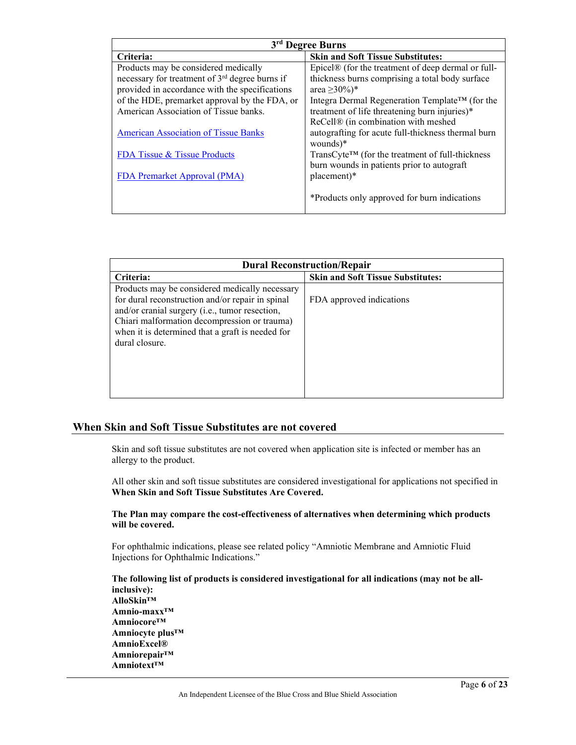| 3 <sup>rd</sup> Degree Burns                               |                                                                 |
|------------------------------------------------------------|-----------------------------------------------------------------|
| Criteria:                                                  | <b>Skin and Soft Tissue Substitutes:</b>                        |
| Products may be considered medically                       | Epicel® (for the treatment of deep dermal or full-              |
| necessary for treatment of 3 <sup>rd</sup> degree burns if | thickness burns comprising a total body surface                 |
| provided in accordance with the specifications             | area $\geq 30\%$ <sup>*</sup>                                   |
| of the HDE, premarket approval by the FDA, or              | Integra Dermal Regeneration Template™ (for the                  |
| American Association of Tissue banks.                      | treatment of life threatening burn injuries)*                   |
|                                                            | ReCell® (in combination with meshed                             |
| <b>American Association of Tissue Banks</b>                | autografting for acute full-thickness thermal burn              |
|                                                            | wounds $)^*$                                                    |
| FDA Tissue & Tissue Products                               | $TransC$ yte <sup>TM</sup> (for the treatment of full-thickness |
|                                                            | burn wounds in patients prior to autograft                      |
| <b>FDA Premarket Approval (PMA)</b>                        | placement)*                                                     |
|                                                            | *Products only approved for burn indications                    |

| <b>Dural Reconstruction/Repair</b>                                                                                                                                                                                                                                         |                                          |
|----------------------------------------------------------------------------------------------------------------------------------------------------------------------------------------------------------------------------------------------------------------------------|------------------------------------------|
| Criteria:                                                                                                                                                                                                                                                                  | <b>Skin and Soft Tissue Substitutes:</b> |
| Products may be considered medically necessary<br>for dural reconstruction and/or repair in spinal<br>and/or cranial surgery (i.e., tumor resection,<br>Chiari malformation decompression or trauma)<br>when it is determined that a graft is needed for<br>dural closure. | FDA approved indications                 |

# **When Skin and Soft Tissue Substitutes are not covered**

Skin and soft tissue substitutes are not covered when application site is infected or member has an allergy to the product.

All other skin and soft tissue substitutes are considered investigational for applications not specified in **When Skin and Soft Tissue Substitutes Are Covered.** 

#### **The Plan may compare the cost-effectiveness of alternatives when determining which products will be covered.**

For ophthalmic indications, please see related policy "Amniotic Membrane and Amniotic Fluid Injections for Ophthalmic Indications."

**The following list of products is considered investigational for all indications (may not be allinclusive): AlloSkin™ Amnio-maxx™ Amniocore™ Amniocyte plus™ AmnioExcel® Amniorepair™ Amniotext™**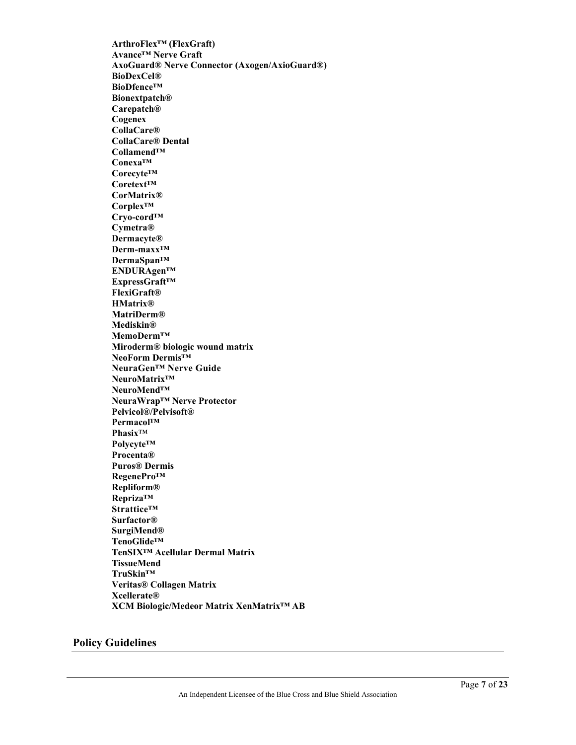**ArthroFlex™ (FlexGraft) Avance™ Nerve Graft AxoGuard® Nerve Connector (Axogen/AxioGuard®) BioDexCel® BioDfence™ Bionextpatch® Carepatch® Cogenex CollaCare® CollaCare® Dental Collamend™ Conexa™ Corecyte™ Coretext™ CorMatrix® Corplex™ Cryo-cord™ Cymetra® Dermacyte® Derm-maxx™ DermaSpan™ ENDURAgen™ ExpressGraft™ FlexiGraft® HMatrix® MatriDerm® Mediskin® MemoDerm™ Miroderm® biologic wound matrix NeoForm Dermis™ NeuraGen™ Nerve Guide NeuroMatrix™ NeuroMend™ NeuraWrap™ Nerve Protector Pelvicol®/Pelvisoft® Permacol™ Phasix**™ **Polycyte™ Procenta® Puros® Dermis RegenePro™ Repliform® Repriza™ Strattice™ Surfactor® SurgiMend® TenoGlide™ TenSIX™ Acellular Dermal Matrix TissueMend TruSkin™ Veritas® Collagen Matrix Xcellerate® XCM Biologic/Medeor Matrix XenMatrix™ AB**

# **Policy Guidelines**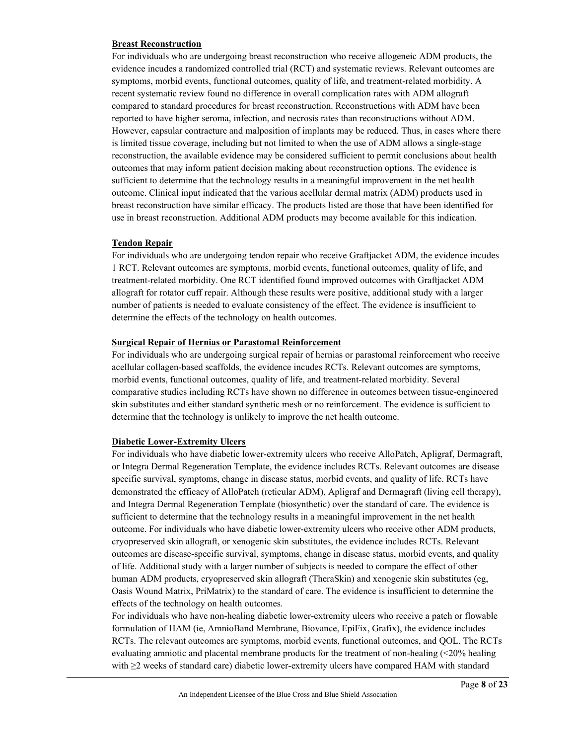#### **Breast Reconstruction**

For individuals who are undergoing breast reconstruction who receive allogeneic ADM products, the evidence incudes a randomized controlled trial (RCT) and systematic reviews. Relevant outcomes are symptoms, morbid events, functional outcomes, quality of life, and treatment-related morbidity. A recent systematic review found no difference in overall complication rates with ADM allograft compared to standard procedures for breast reconstruction. Reconstructions with ADM have been reported to have higher seroma, infection, and necrosis rates than reconstructions without ADM. However, capsular contracture and malposition of implants may be reduced. Thus, in cases where there is limited tissue coverage, including but not limited to when the use of ADM allows a single-stage reconstruction, the available evidence may be considered sufficient to permit conclusions about health outcomes that may inform patient decision making about reconstruction options. The evidence is sufficient to determine that the technology results in a meaningful improvement in the net health outcome. Clinical input indicated that the various acellular dermal matrix (ADM) products used in breast reconstruction have similar efficacy. The products listed are those that have been identified for use in breast reconstruction. Additional ADM products may become available for this indication.

#### **Tendon Repair**

For individuals who are undergoing tendon repair who receive Graftjacket ADM, the evidence incudes 1 RCT. Relevant outcomes are symptoms, morbid events, functional outcomes, quality of life, and treatment-related morbidity. One RCT identified found improved outcomes with Graftjacket ADM allograft for rotator cuff repair. Although these results were positive, additional study with a larger number of patients is needed to evaluate consistency of the effect. The evidence is insufficient to determine the effects of the technology on health outcomes.

#### **Surgical Repair of Hernias or Parastomal Reinforcement**

For individuals who are undergoing surgical repair of hernias or parastomal reinforcement who receive acellular collagen-based scaffolds, the evidence incudes RCTs. Relevant outcomes are symptoms, morbid events, functional outcomes, quality of life, and treatment-related morbidity. Several comparative studies including RCTs have shown no difference in outcomes between tissue-engineered skin substitutes and either standard synthetic mesh or no reinforcement. The evidence is sufficient to determine that the technology is unlikely to improve the net health outcome.

#### **Diabetic Lower-Extremity Ulcers**

For individuals who have diabetic lower-extremity ulcers who receive AlloPatch, Apligraf, Dermagraft, or Integra Dermal Regeneration Template, the evidence includes RCTs. Relevant outcomes are disease specific survival, symptoms, change in disease status, morbid events, and quality of life. RCTs have demonstrated the efficacy of AlloPatch (reticular ADM), Apligraf and Dermagraft (living cell therapy), and Integra Dermal Regeneration Template (biosynthetic) over the standard of care. The evidence is sufficient to determine that the technology results in a meaningful improvement in the net health outcome. For individuals who have diabetic lower-extremity ulcers who receive other ADM products, cryopreserved skin allograft, or xenogenic skin substitutes, the evidence includes RCTs. Relevant outcomes are disease-specific survival, symptoms, change in disease status, morbid events, and quality of life. Additional study with a larger number of subjects is needed to compare the effect of other human ADM products, cryopreserved skin allograft (TheraSkin) and xenogenic skin substitutes (eg, Oasis Wound Matrix, PriMatrix) to the standard of care. The evidence is insufficient to determine the effects of the technology on health outcomes.

For individuals who have non-healing diabetic lower-extremity ulcers who receive a patch or flowable formulation of HAM (ie, AmnioBand Membrane, Biovance, EpiFix, Grafix), the evidence includes RCTs. The relevant outcomes are symptoms, morbid events, functional outcomes, and QOL. The RCTs evaluating amniotic and placental membrane products for the treatment of non-healing (<20% healing with ≥2 weeks of standard care) diabetic lower-extremity ulcers have compared HAM with standard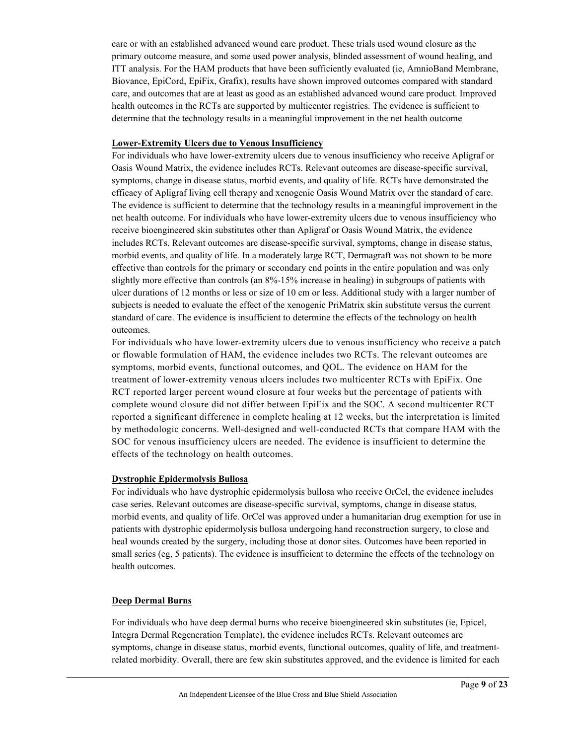care or with an established advanced wound care product. These trials used wound closure as the primary outcome measure, and some used power analysis, blinded assessment of wound healing, and ITT analysis. For the HAM products that have been sufficiently evaluated (ie, AmnioBand Membrane, Biovance, EpiCord, EpiFix, Grafix), results have shown improved outcomes compared with standard care, and outcomes that are at least as good as an established advanced wound care product. Improved health outcomes in the RCTs are supported by multicenter registries. The evidence is sufficient to determine that the technology results in a meaningful improvement in the net health outcome

#### **Lower-Extremity Ulcers due to Venous Insufficiency**

For individuals who have lower-extremity ulcers due to venous insufficiency who receive Apligraf or Oasis Wound Matrix, the evidence includes RCTs. Relevant outcomes are disease-specific survival, symptoms, change in disease status, morbid events, and quality of life. RCTs have demonstrated the efficacy of Apligraf living cell therapy and xenogenic Oasis Wound Matrix over the standard of care. The evidence is sufficient to determine that the technology results in a meaningful improvement in the net health outcome. For individuals who have lower-extremity ulcers due to venous insufficiency who receive bioengineered skin substitutes other than Apligraf or Oasis Wound Matrix, the evidence includes RCTs. Relevant outcomes are disease-specific survival, symptoms, change in disease status, morbid events, and quality of life. In a moderately large RCT, Dermagraft was not shown to be more effective than controls for the primary or secondary end points in the entire population and was only slightly more effective than controls (an 8%-15% increase in healing) in subgroups of patients with ulcer durations of 12 months or less or size of 10 cm or less. Additional study with a larger number of subjects is needed to evaluate the effect of the xenogenic PriMatrix skin substitute versus the current standard of care. The evidence is insufficient to determine the effects of the technology on health outcomes.

For individuals who have lower-extremity ulcers due to venous insufficiency who receive a patch or flowable formulation of HAM, the evidence includes two RCTs. The relevant outcomes are symptoms, morbid events, functional outcomes, and QOL. The evidence on HAM for the treatment of lower-extremity venous ulcers includes two multicenter RCTs with EpiFix. One RCT reported larger percent wound closure at four weeks but the percentage of patients with complete wound closure did not differ between EpiFix and the SOC. A second multicenter RCT reported a significant difference in complete healing at 12 weeks, but the interpretation is limited by methodologic concerns. Well-designed and well-conducted RCTs that compare HAM with the SOC for venous insufficiency ulcers are needed. The evidence is insufficient to determine the effects of the technology on health outcomes.

#### **Dystrophic Epidermolysis Bullosa**

For individuals who have dystrophic epidermolysis bullosa who receive OrCel, the evidence includes case series. Relevant outcomes are disease-specific survival, symptoms, change in disease status, morbid events, and quality of life. OrCel was approved under a humanitarian drug exemption for use in patients with dystrophic epidermolysis bullosa undergoing hand reconstruction surgery, to close and heal wounds created by the surgery, including those at donor sites. Outcomes have been reported in small series (eg, 5 patients). The evidence is insufficient to determine the effects of the technology on health outcomes.

#### **Deep Dermal Burns**

For individuals who have deep dermal burns who receive bioengineered skin substitutes (ie, Epicel, Integra Dermal Regeneration Template), the evidence includes RCTs. Relevant outcomes are symptoms, change in disease status, morbid events, functional outcomes, quality of life, and treatmentrelated morbidity. Overall, there are few skin substitutes approved, and the evidence is limited for each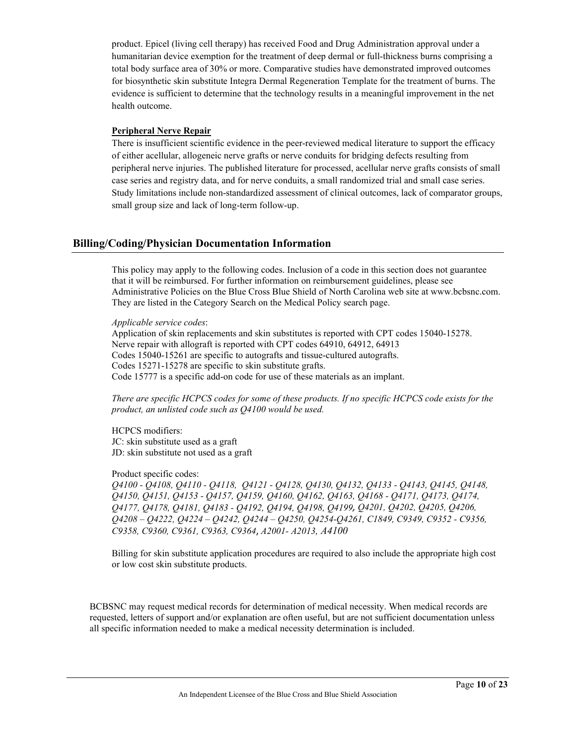product. Epicel (living cell therapy) has received Food and Drug Administration approval under a humanitarian device exemption for the treatment of deep dermal or full-thickness burns comprising a total body surface area of 30% or more. Comparative studies have demonstrated improved outcomes for biosynthetic skin substitute Integra Dermal Regeneration Template for the treatment of burns. The evidence is sufficient to determine that the technology results in a meaningful improvement in the net health outcome.

#### **Peripheral Nerve Repair**

There is insufficient scientific evidence in the peer-reviewed medical literature to support the efficacy of either acellular, allogeneic nerve grafts or nerve conduits for bridging defects resulting from peripheral nerve injuries. The published literature for processed, acellular nerve grafts consists of small case series and registry data, and for nerve conduits, a small randomized trial and small case series. Study limitations include non-standardized assessment of clinical outcomes, lack of comparator groups, small group size and lack of long-term follow-up.

# **Billing/Coding/Physician Documentation Information**

This policy may apply to the following codes. Inclusion of a code in this section does not guarantee that it will be reimbursed. For further information on reimbursement guidelines, please see Administrative Policies on the Blue Cross Blue Shield of North Carolina web site at www.bcbsnc.com. They are listed in the Category Search on the Medical Policy search page.

*Applicable service codes*:

Application of skin replacements and skin substitutes is reported with CPT codes 15040-15278. Nerve repair with allograft is reported with CPT codes 64910, 64912, 64913 Codes 15040-15261 are specific to autografts and tissue-cultured autografts. Codes 15271-15278 are specific to skin substitute grafts. Code 15777 is a specific add-on code for use of these materials as an implant.

*There are specific HCPCS codes for some of these products. If no specific HCPCS code exists for the product, an unlisted code such as Q4100 would be used.* 

HCPCS modifiers: JC: skin substitute used as a graft JD: skin substitute not used as a graft

Product specific codes:

*Q4100 - Q4108, Q4110 - Q4118, Q4121 - Q4128, Q4130, Q4132, Q4133 - Q4143, Q4145, Q4148, Q4150, Q4151, Q4153 - Q4157, Q4159, Q4160, Q4162, Q4163, Q4168 - Q4171, Q4173, Q4174, Q4177, Q4178, Q4181, Q4183 - Q4192, Q4194, Q4198, Q4199, Q4201, Q4202, Q4205, Q4206, Q4208 – Q4222, Q4224 – Q4242, Q4244 – Q4250, Q4254-Q4261, C1849, C9349, C9352 - C9356, C9358, C9360, C9361, C9363, C9364*, *A2001- A2013, A4100*

Billing for skin substitute application procedures are required to also include the appropriate high cost or low cost skin substitute products.

BCBSNC may request medical records for determination of medical necessity. When medical records are requested, letters of support and/or explanation are often useful, but are not sufficient documentation unless all specific information needed to make a medical necessity determination is included.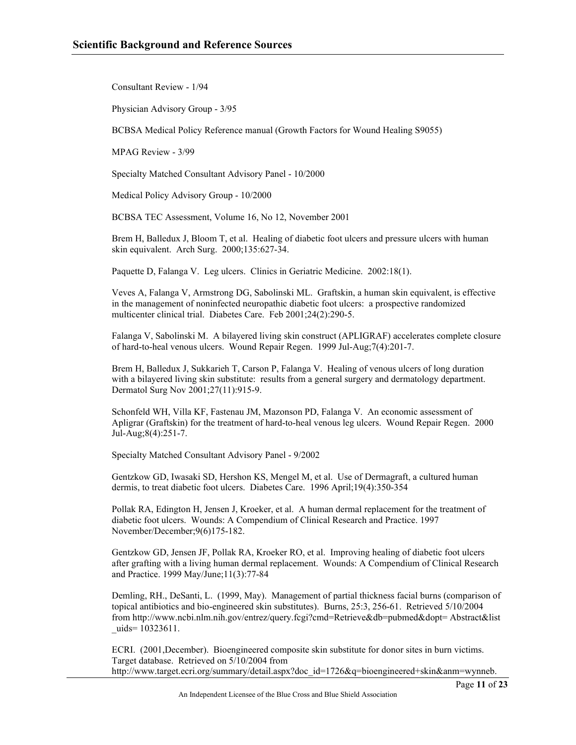Consultant Review - 1/94

Physician Advisory Group - 3/95

BCBSA Medical Policy Reference manual (Growth Factors for Wound Healing S9055)

MPAG Review - 3/99

Specialty Matched Consultant Advisory Panel - 10/2000

Medical Policy Advisory Group - 10/2000

BCBSA TEC Assessment, Volume 16, No 12, November 2001

Brem H, Balledux J, Bloom T, et al. Healing of diabetic foot ulcers and pressure ulcers with human skin equivalent. Arch Surg. 2000;135:627-34.

Paquette D, Falanga V. Leg ulcers. Clinics in Geriatric Medicine. 2002:18(1).

Veves A, Falanga V, Armstrong DG, Sabolinski ML. Graftskin, a human skin equivalent, is effective in the management of noninfected neuropathic diabetic foot ulcers: a prospective randomized multicenter clinical trial. Diabetes Care. Feb 2001;24(2):290-5.

Falanga V, Sabolinski M. A bilayered living skin construct (APLIGRAF) accelerates complete closure of hard-to-heal venous ulcers. Wound Repair Regen. 1999 Jul-Aug;7(4):201-7.

Brem H, Balledux J, Sukkarieh T, Carson P, Falanga V. Healing of venous ulcers of long duration with a bilayered living skin substitute: results from a general surgery and dermatology department. Dermatol Surg Nov 2001;27(11):915-9.

Schonfeld WH, Villa KF, Fastenau JM, Mazonson PD, Falanga V. An economic assessment of Apligrar (Graftskin) for the treatment of hard-to-heal venous leg ulcers. Wound Repair Regen. 2000 Jul-Aug;8(4):251-7.

Specialty Matched Consultant Advisory Panel - 9/2002

Gentzkow GD, Iwasaki SD, Hershon KS, Mengel M, et al. Use of Dermagraft, a cultured human dermis, to treat diabetic foot ulcers. Diabetes Care. 1996 April;19(4):350-354

Pollak RA, Edington H, Jensen J, Kroeker, et al. A human dermal replacement for the treatment of diabetic foot ulcers. Wounds: A Compendium of Clinical Research and Practice. 1997 November/December;9(6)175-182.

Gentzkow GD, Jensen JF, Pollak RA, Kroeker RO, et al. Improving healing of diabetic foot ulcers after grafting with a living human dermal replacement. Wounds: A Compendium of Clinical Research and Practice. 1999 May/June;11(3):77-84

Demling, RH., DeSanti, L. (1999, May). Management of partial thickness facial burns (comparison of topical antibiotics and bio-engineered skin substitutes). Burns, 25:3, 256-61. Retrieved 5/10/2004 from http://www.ncbi.nlm.nih.gov/entrez/query.fcgi?cmd=Retrieve&db=pubmed&dopt= Abstract&list uids= 10323611.

ECRI. (2001,December). Bioengineered composite skin substitute for donor sites in burn victims. Target database. Retrieved on 5/10/2004 from http://www.target.ecri.org/summary/detail.aspx?doc\_id=1726&q=bioengineered+skin&anm=wynneb.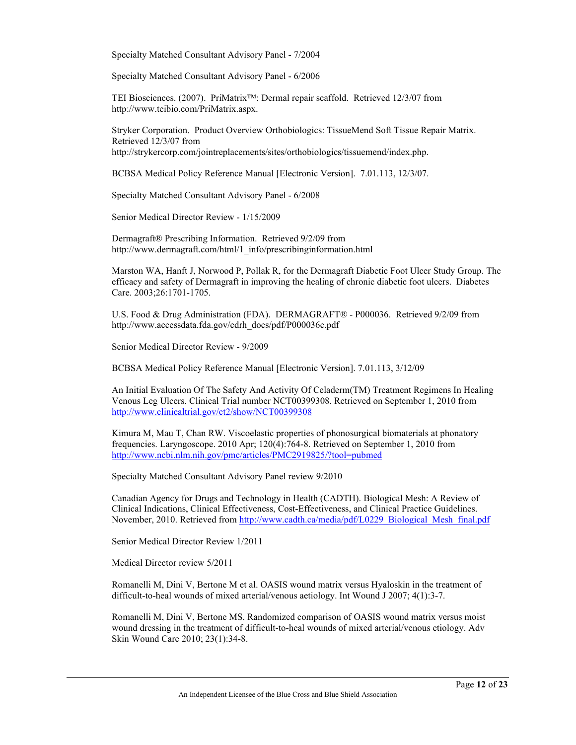Specialty Matched Consultant Advisory Panel - 7/2004

Specialty Matched Consultant Advisory Panel - 6/2006

TEI Biosciences. (2007). PriMatrix™: Dermal repair scaffold. Retrieved 12/3/07 from http://www.teibio.com/PriMatrix.aspx.

Stryker Corporation. Product Overview Orthobiologics: TissueMend Soft Tissue Repair Matrix. Retrieved 12/3/07 from http://strykercorp.com/jointreplacements/sites/orthobiologics/tissuemend/index.php.

BCBSA Medical Policy Reference Manual [Electronic Version]. 7.01.113, 12/3/07.

Specialty Matched Consultant Advisory Panel - 6/2008

Senior Medical Director Review - 1/15/2009

Dermagraft® Prescribing Information. Retrieved 9/2/09 from http://www.dermagraft.com/html/1\_info/prescribinginformation.html

Marston WA, Hanft J, Norwood P, Pollak R, for the Dermagraft Diabetic Foot Ulcer Study Group. The efficacy and safety of Dermagraft in improving the healing of chronic diabetic foot ulcers. Diabetes Care. 2003;26:1701-1705.

U.S. Food & Drug Administration (FDA). DERMAGRAFT® - P000036. Retrieved 9/2/09 from http://www.accessdata.fda.gov/cdrh\_docs/pdf/P000036c.pdf

Senior Medical Director Review - 9/2009

BCBSA Medical Policy Reference Manual [Electronic Version]. 7.01.113, 3/12/09

An Initial Evaluation Of The Safety And Activity Of Celaderm(TM) Treatment Regimens In Healing Venous Leg Ulcers. Clinical Trial number NCT00399308. Retrieved on September 1, 2010 from <http://www.clinicaltrial.gov/ct2/show/NCT00399308>

Kimura M, Mau T, Chan RW. Viscoelastic properties of phonosurgical biomaterials at phonatory frequencies. Laryngoscope. 2010 Apr; 120(4):764-8. Retrieved on September 1, 2010 from <http://www.ncbi.nlm.nih.gov/pmc/articles/PMC2919825/?tool=pubmed>

Specialty Matched Consultant Advisory Panel review 9/2010

Canadian Agency for Drugs and Technology in Health (CADTH). Biological Mesh: A Review of Clinical Indications, Clinical Effectiveness, Cost-Effectiveness, and Clinical Practice Guidelines. November, 2010. Retrieved from [http://www.cadth.ca/media/pdf/L0229\\_Biological\\_Mesh\\_final.pdf](http://www.cadth.ca/media/pdf/L0229_Biological_Mesh_final.pdf)

Senior Medical Director Review 1/2011

Medical Director review 5/2011

Romanelli M, Dini V, Bertone M et al. OASIS wound matrix versus Hyaloskin in the treatment of difficult-to-heal wounds of mixed arterial/venous aetiology. Int Wound J 2007; 4(1):3-7.

Romanelli M, Dini V, Bertone MS. Randomized comparison of OASIS wound matrix versus moist wound dressing in the treatment of difficult-to-heal wounds of mixed arterial/venous etiology. Adv Skin Wound Care 2010; 23(1):34-8.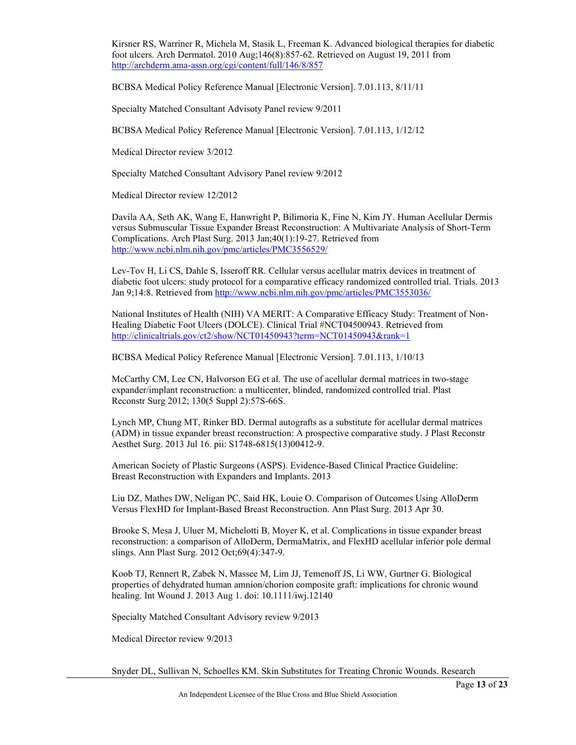Kirsner RS, Warriner R, Michela M, Stasik L, Freeman K. Advanced biological therapies for diabetic foot ulcers. Arch Dermatol. 2010 Aug;146(8):857-62. Retrieved on August 19, 2011 from <http://archderm.ama-assn.org/cgi/content/full/146/8/857>

BCBSA Medical Policy Reference Manual [Electronic Version]. 7.01.113, 8/11/11

Specialty Matched Consultant Advisoty Panel review 9/2011

BCBSA Medical Policy Reference Manual [Electronic Version]. 7.01.113, 1/12/12

Medical Director review 3/2012

Specialty Matched Consultant Advisory Panel review 9/2012

Medical Director review 12/2012

Davila AA, Seth AK, Wang E, Hanwright P, Bilimoria K, Fine N, Kim JY. Human Acellular Dermis versus Submuscular Tissue Expander Breast Reconstruction: A Multivariate Analysis of Short-Term Complications. Arch Plast Surg. 2013 Jan;40(1):19-27. Retrieved from <http://www.ncbi.nlm.nih.gov/pmc/articles/PMC3556529/>

Lev-Tov H, Li CS, Dahle S, Isseroff RR. Cellular versus acellular matrix devices in treatment of diabetic foot ulcers: study protocol for a comparative efficacy randomized controlled trial. Trials. 2013 Jan 9;14:8. Retrieved fro[m http://www.ncbi.nlm.nih.gov/pmc/articles/PMC3553036/](http://www.ncbi.nlm.nih.gov/pmc/articles/PMC3553036/)

National Institutes of Health (NIH) VA MERIT: A Comparative Efficacy Study: Treatment of Non-Healing Diabetic Foot Ulcers (DOLCE). Clinical Trial #NCT04500943. Retrieved from <http://clinicaltrials.gov/ct2/show/NCT01450943?term=NCT01450943&rank=1>

BCBSA Medical Policy Reference Manual [Electronic Version]. 7.01.113, 1/10/13

McCarthy CM, Lee CN, Halvorson EG et al. The use of acellular dermal matrices in two-stage expander/implant reconstruction: a multicenter, blinded, randomized controlled trial. Plast Reconstr Surg 2012; 130(5 Suppl 2):57S-66S.

Lynch MP, Chung MT, Rinker BD. Dermal autografts as a substitute for acellular dermal matrices (ADM) in tissue expander breast reconstruction: A prospective comparative study. J Plast Reconstr Aesthet Surg. 2013 Jul 16. pii: S1748-6815(13)00412-9.

American Society of Plastic Surgeons (ASPS). Evidence-Based Clinical Practice Guideline: Breast Reconstruction with Expanders and Implants. 2013

Liu DZ, Mathes DW, Neligan PC, Said HK, Louie O. Comparison of Outcomes Using AlloDerm Versus FlexHD for Implant-Based Breast Reconstruction. Ann Plast Surg. 2013 Apr 30.

Brooke S, Mesa J, Uluer M, Michelotti B, Moyer K, et al. Complications in tissue expander breast reconstruction: a comparison of AlloDerm, DermaMatrix, and FlexHD acellular inferior pole dermal slings. Ann Plast Surg. 2012 Oct;69(4):347-9.

Koob TJ, Rennert R, Zabek N, Massee M, Lim JJ, Temenoff JS, Li WW, Gurtner G. Biological properties of dehydrated human amnion/chorion composite graft: implications for chronic wound healing. Int Wound J. 2013 Aug 1. doi: 10.1111/iwj.12140

Specialty Matched Consultant Advisory review 9/2013

Medical Director review 9/2013

Snyder DL, Sullivan N, Schoelles KM. Skin Substitutes for Treating Chronic Wounds. Research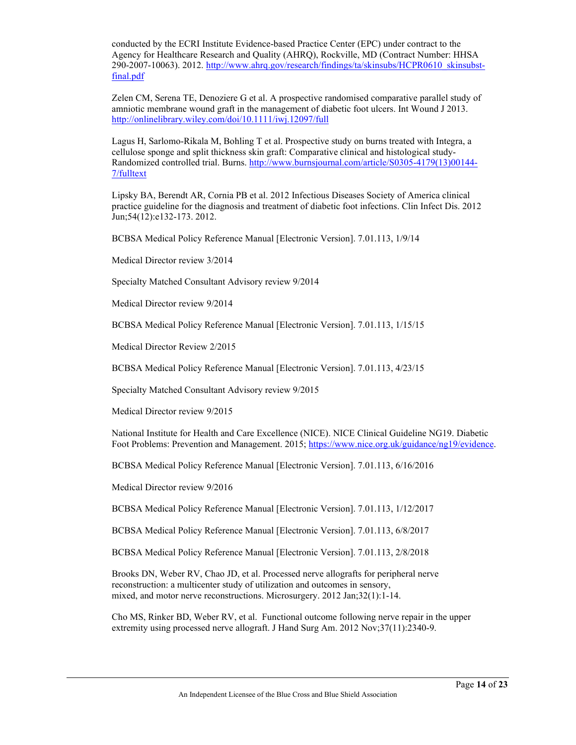conducted by the ECRI Institute Evidence-based Practice Center (EPC) under contract to the Agency for Healthcare Research and Quality (AHRQ), Rockville, MD (Contract Number: HHSA 290-2007-10063). 2012. [http://www.ahrq.gov/research/findings/ta/skinsubs/HCPR0610\\_skinsubst](http://www.ahrq.gov/research/findings/ta/skinsubs/HCPR0610_skinsubst-final.pdf)[final.pdf](http://www.ahrq.gov/research/findings/ta/skinsubs/HCPR0610_skinsubst-final.pdf)

Zelen CM, Serena TE, Denoziere G et al. A prospective randomised comparative parallel study of amniotic membrane wound graft in the management of diabetic foot ulcers. Int Wound J 2013. <http://onlinelibrary.wiley.com/doi/10.1111/iwj.12097/full>

Lagus H, Sarlomo-Rikala M, Bohling T et al. Prospective study on burns treated with Integra, a cellulose sponge and split thickness skin graft: Comparative clinical and histological study-Randomized controlled trial. Burns. [http://www.burnsjournal.com/article/S0305-4179\(13\)00144-](http://www.burnsjournal.com/article/S0305-4179(13)00144-7/fulltext) [7/fulltext](http://www.burnsjournal.com/article/S0305-4179(13)00144-7/fulltext)

Lipsky BA, Berendt AR, Cornia PB et al. 2012 Infectious Diseases Society of America clinical practice guideline for the diagnosis and treatment of diabetic foot infections. Clin Infect Dis. 2012 Jun;54(12):e132-173. 2012.

BCBSA Medical Policy Reference Manual [Electronic Version]. 7.01.113, 1/9/14

Medical Director review 3/2014

Specialty Matched Consultant Advisory review 9/2014

Medical Director review 9/2014

BCBSA Medical Policy Reference Manual [Electronic Version]. 7.01.113, 1/15/15

Medical Director Review 2/2015

BCBSA Medical Policy Reference Manual [Electronic Version]. 7.01.113, 4/23/15

Specialty Matched Consultant Advisory review 9/2015

Medical Director review 9/2015

National Institute for Health and Care Excellence (NICE). NICE Clinical Guideline NG19. Diabetic Foot Problems: Prevention and Management. 2015; [https://www.nice.org.uk/guidance/ng19/evidence.](https://www.nice.org.uk/guidance/ng19/evidence)

BCBSA Medical Policy Reference Manual [Electronic Version]. 7.01.113, 6/16/2016

Medical Director review 9/2016

BCBSA Medical Policy Reference Manual [Electronic Version]. 7.01.113, 1/12/2017

BCBSA Medical Policy Reference Manual [Electronic Version]. 7.01.113, 6/8/2017

BCBSA Medical Policy Reference Manual [Electronic Version]. 7.01.113, 2/8/2018

Brooks DN, Weber RV, Chao JD, et al. Processed nerve allografts for peripheral nerve reconstruction: a multicenter study of utilization and outcomes in sensory, mixed, and motor nerve reconstructions. Microsurgery. 2012 Jan;32(1):1-14.

Cho MS, Rinker BD, Weber RV, et al. Functional outcome following nerve repair in the upper extremity using processed nerve allograft. J Hand Surg Am. 2012 Nov;37(11):2340-9.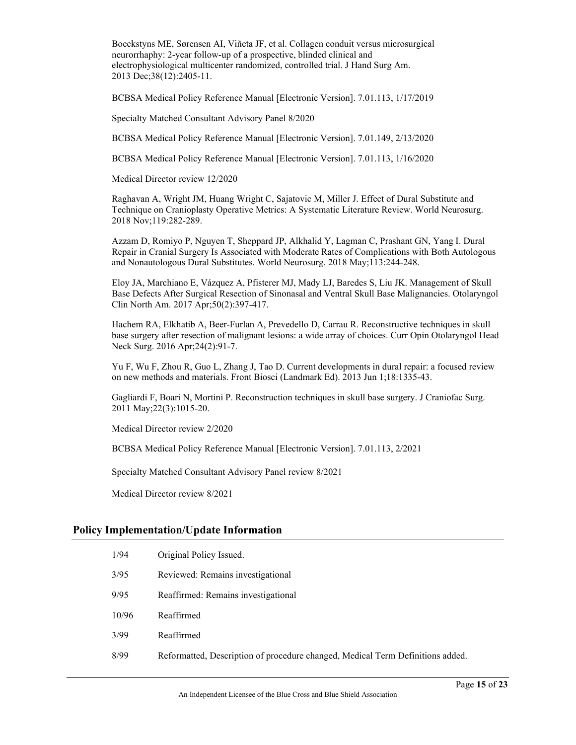Boeckstyns ME, Sørensen AI, Viñeta JF, et al. Collagen conduit versus microsurgical neurorrhaphy: 2-year follow-up of a prospective, blinded clinical and electrophysiological multicenter randomized, controlled trial. J Hand Surg Am. 2013 Dec;38(12):2405-11.

BCBSA Medical Policy Reference Manual [Electronic Version]. 7.01.113, 1/17/2019

Specialty Matched Consultant Advisory Panel 8/2020

BCBSA Medical Policy Reference Manual [Electronic Version]. 7.01.149, 2/13/2020

BCBSA Medical Policy Reference Manual [Electronic Version]. 7.01.113, 1/16/2020

Medical Director review 12/2020

Raghavan A, Wright JM, Huang Wright C, Sajatovic M, Miller J. Effect of Dural Substitute and Technique on Cranioplasty Operative Metrics: A Systematic Literature Review. World Neurosurg. 2018 Nov;119:282-289.

Azzam D, Romiyo P, Nguyen T, Sheppard JP, Alkhalid Y, Lagman C, Prashant GN, Yang I. Dural Repair in Cranial Surgery Is Associated with Moderate Rates of Complications with Both Autologous and Nonautologous Dural Substitutes. World Neurosurg. 2018 May;113:244-248.

Eloy JA, Marchiano E, Vázquez A, Pfisterer MJ, Mady LJ, Baredes S, Liu JK. Management of Skull Base Defects After Surgical Resection of Sinonasal and Ventral Skull Base Malignancies. Otolaryngol Clin North Am. 2017 Apr;50(2):397-417.

Hachem RA, Elkhatib A, Beer-Furlan A, Prevedello D, Carrau R. Reconstructive techniques in skull base surgery after resection of malignant lesions: a wide array of choices. Curr Opin Otolaryngol Head Neck Surg. 2016 Apr;24(2):91-7.

Yu F, Wu F, Zhou R, Guo L, Zhang J, Tao D. Current developments in dural repair: a focused review on new methods and materials. Front Biosci (Landmark Ed). 2013 Jun 1;18:1335-43.

Gagliardi F, Boari N, Mortini P. Reconstruction techniques in skull base surgery. J Craniofac Surg. 2011 May;22(3):1015-20.

Medical Director review 2/2020

BCBSA Medical Policy Reference Manual [Electronic Version]. 7.01.113, 2/2021

Specialty Matched Consultant Advisory Panel review 8/2021

Medical Director review 8/2021

#### **Policy Implementation/Update Information**

| 1/94  | Original Policy Issued.                                                        |
|-------|--------------------------------------------------------------------------------|
| 3/95  | Reviewed: Remains investigational                                              |
| 9/95  | Reaffirmed: Remains investigational                                            |
| 10/96 | Reaffirmed                                                                     |
| 3/99  | Reaffirmed                                                                     |
| 8/99  | Reformatted, Description of procedure changed, Medical Term Definitions added. |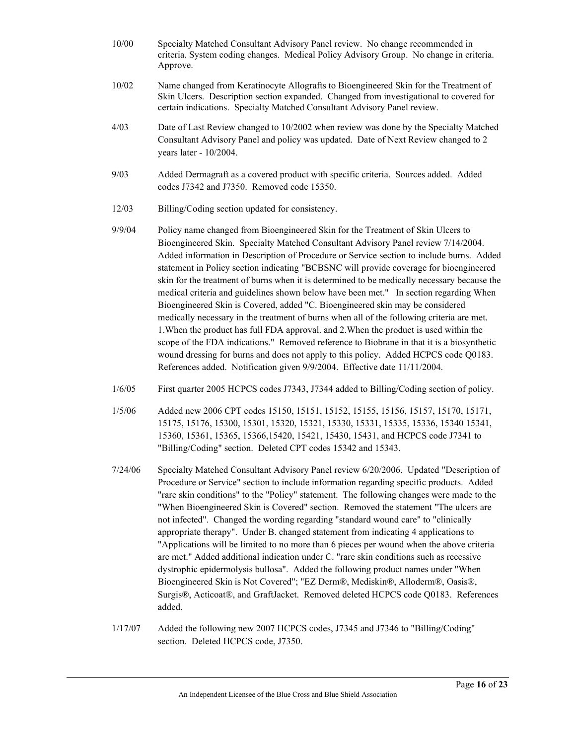- 10/00 Specialty Matched Consultant Advisory Panel review. No change recommended in criteria. System coding changes. Medical Policy Advisory Group. No change in criteria. Approve.
- 10/02 Name changed from Keratinocyte Allografts to Bioengineered Skin for the Treatment of Skin Ulcers. Description section expanded. Changed from investigational to covered for certain indications. Specialty Matched Consultant Advisory Panel review.
- 4/03 Date of Last Review changed to 10/2002 when review was done by the Specialty Matched Consultant Advisory Panel and policy was updated. Date of Next Review changed to 2 years later - 10/2004.
- 9/03 Added Dermagraft as a covered product with specific criteria. Sources added. Added codes J7342 and J7350. Removed code 15350.
- 12/03 Billing/Coding section updated for consistency.
- 9/9/04 Policy name changed from Bioengineered Skin for the Treatment of Skin Ulcers to Bioengineered Skin. Specialty Matched Consultant Advisory Panel review 7/14/2004. Added information in Description of Procedure or Service section to include burns. Added statement in Policy section indicating "BCBSNC will provide coverage for bioengineered skin for the treatment of burns when it is determined to be medically necessary because the medical criteria and guidelines shown below have been met." In section regarding When Bioengineered Skin is Covered, added "C. Bioengineered skin may be considered medically necessary in the treatment of burns when all of the following criteria are met. 1.When the product has full FDA approval. and 2.When the product is used within the scope of the FDA indications." Removed reference to Biobrane in that it is a biosynthetic wound dressing for burns and does not apply to this policy. Added HCPCS code Q0183. References added. Notification given 9/9/2004. Effective date 11/11/2004.
- 1/6/05 First quarter 2005 HCPCS codes J7343, J7344 added to Billing/Coding section of policy.
- 1/5/06 Added new 2006 CPT codes 15150, 15151, 15152, 15155, 15156, 15157, 15170, 15171, 15175, 15176, 15300, 15301, 15320, 15321, 15330, 15331, 15335, 15336, 15340 15341, 15360, 15361, 15365, 15366,15420, 15421, 15430, 15431, and HCPCS code J7341 to "Billing/Coding" section. Deleted CPT codes 15342 and 15343.
- 7/24/06 Specialty Matched Consultant Advisory Panel review 6/20/2006. Updated "Description of Procedure or Service" section to include information regarding specific products. Added "rare skin conditions" to the "Policy" statement. The following changes were made to the "When Bioengineered Skin is Covered" section. Removed the statement "The ulcers are not infected". Changed the wording regarding "standard wound care" to "clinically appropriate therapy". Under B. changed statement from indicating 4 applications to "Applications will be limited to no more than 6 pieces per wound when the above criteria are met." Added additional indication under C. "rare skin conditions such as recessive dystrophic epidermolysis bullosa". Added the following product names under "When Bioengineered Skin is Not Covered"; "EZ Derm®, Mediskin®, Alloderm®, Oasis®, Surgis®, Acticoat®, and GraftJacket. Removed deleted HCPCS code Q0183. References added.
- 1/17/07 Added the following new 2007 HCPCS codes, J7345 and J7346 to "Billing/Coding" section. Deleted HCPCS code, J7350.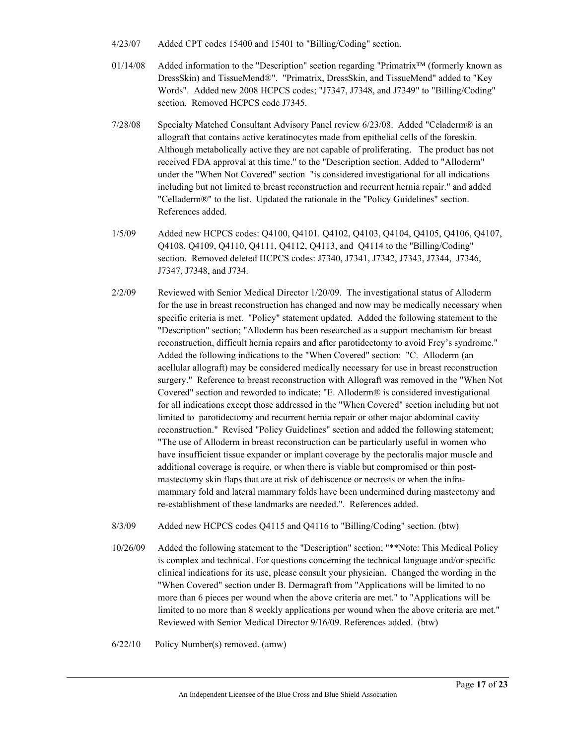- 4/23/07 Added CPT codes 15400 and 15401 to "Billing/Coding" section.
- 01/14/08 Added information to the "Description" section regarding "Primatrix™ (formerly known as DressSkin) and TissueMend®". "Primatrix, DressSkin, and TissueMend" added to "Key Words". Added new 2008 HCPCS codes; "J7347, J7348, and J7349" to "Billing/Coding" section. Removed HCPCS code J7345.
- 7/28/08 Specialty Matched Consultant Advisory Panel review 6/23/08. Added "Celaderm® is an allograft that contains active keratinocytes made from epithelial cells of the foreskin. Although metabolically active they are not capable of proliferating. The product has not received FDA approval at this time." to the "Description section. Added to "Alloderm" under the "When Not Covered" section "is considered investigational for all indications including but not limited to breast reconstruction and recurrent hernia repair." and added "Celladerm®" to the list. Updated the rationale in the "Policy Guidelines" section. References added.
- 1/5/09 Added new HCPCS codes: Q4100, Q4101. Q4102, Q4103, Q4104, Q4105, Q4106, Q4107, Q4108, Q4109, Q4110, Q4111, Q4112, Q4113, and Q4114 to the "Billing/Coding" section. Removed deleted HCPCS codes: J7340, J7341, J7342, J7343, J7344, J7346, J7347, J7348, and J734.
- 2/2/09 Reviewed with Senior Medical Director 1/20/09. The investigational status of Alloderm for the use in breast reconstruction has changed and now may be medically necessary when specific criteria is met. "Policy" statement updated. Added the following statement to the "Description" section; "Alloderm has been researched as a support mechanism for breast reconstruction, difficult hernia repairs and after parotidectomy to avoid Frey's syndrome." Added the following indications to the "When Covered" section: "C. Alloderm (an acellular allograft) may be considered medically necessary for use in breast reconstruction surgery." Reference to breast reconstruction with Allograft was removed in the "When Not Covered" section and reworded to indicate; "E. Alloderm® is considered investigational for all indications except those addressed in the "When Covered" section including but not limited to parotidectomy and recurrent hernia repair or other major abdominal cavity reconstruction." Revised "Policy Guidelines" section and added the following statement; "The use of Alloderm in breast reconstruction can be particularly useful in women who have insufficient tissue expander or implant coverage by the pectoralis major muscle and additional coverage is require, or when there is viable but compromised or thin postmastectomy skin flaps that are at risk of dehiscence or necrosis or when the inframammary fold and lateral mammary folds have been undermined during mastectomy and re-establishment of these landmarks are needed.". References added.
- 8/3/09 Added new HCPCS codes Q4115 and Q4116 to "Billing/Coding" section. (btw)
- 10/26/09 Added the following statement to the "Description" section; "\*\*Note: This Medical Policy is complex and technical. For questions concerning the technical language and/or specific clinical indications for its use, please consult your physician. Changed the wording in the "When Covered" section under B. Dermagraft from "Applications will be limited to no more than 6 pieces per wound when the above criteria are met." to "Applications will be limited to no more than 8 weekly applications per wound when the above criteria are met." Reviewed with Senior Medical Director 9/16/09. References added. (btw)

6/22/10 Policy Number(s) removed. (amw)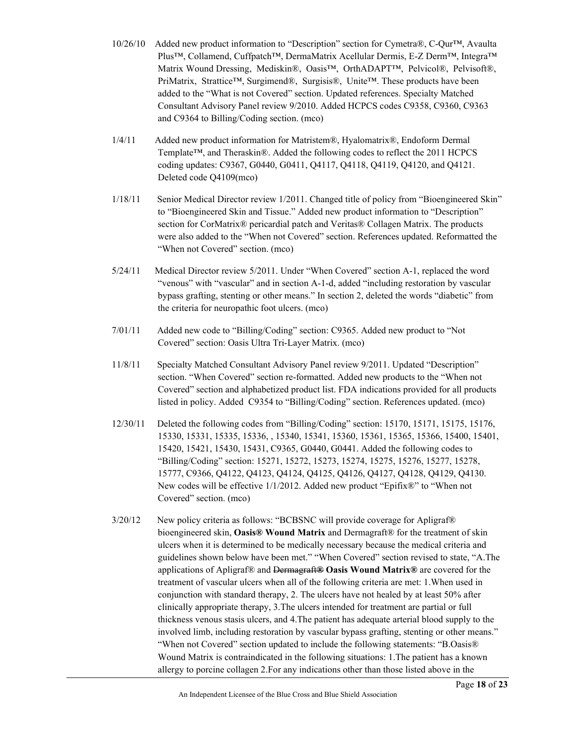- $10/26/10$  Added new product information to "Description" section for Cymetra®, C-Qur<sup>TM</sup>, Avaulta Plus™, Collamend, Cuffpatch™, DermaMatrix Acellular Dermis, E-Z Derm™, Integra™ Matrix Wound Dressing, Mediskin®, Oasis™, OrthADAPT™, Pelvicol®, Pelvisoft®, PriMatrix, Strattice™, Surgimend®, Surgisis®, Unite™. These products have been added to the "What is not Covered" section. Updated references. Specialty Matched Consultant Advisory Panel review 9/2010. Added HCPCS codes C9358, C9360, C9363 and C9364 to Billing/Coding section. (mco)
- 1/4/11 Added new product information for Matristem®, Hyalomatrix®, Endoform Dermal Template™, and Theraskin®. Added the following codes to reflect the 2011 HCPCS coding updates: C9367, G0440, G0411, Q4117, Q4118, Q4119, Q4120, and Q4121. Deleted code Q4109(mco)
- 1/18/11 Senior Medical Director review 1/2011. Changed title of policy from "Bioengineered Skin" to "Bioengineered Skin and Tissue." Added new product information to "Description" section for CorMatrix® pericardial patch and Veritas® Collagen Matrix. The products were also added to the "When not Covered" section. References updated. Reformatted the "When not Covered" section. (mco)
- 5/24/11 Medical Director review 5/2011. Under "When Covered" section A-1, replaced the word "venous" with "vascular" and in section A-1-d, added "including restoration by vascular bypass grafting, stenting or other means." In section 2, deleted the words "diabetic" from the criteria for neuropathic foot ulcers. (mco)
- 7/01/11 Added new code to "Billing/Coding" section: C9365. Added new product to "Not Covered" section: Oasis Ultra Tri-Layer Matrix. (mco)
- 11/8/11 Specialty Matched Consultant Advisory Panel review 9/2011. Updated "Description" section. "When Covered" section re-formatted. Added new products to the "When not Covered" section and alphabetized product list. FDA indications provided for all products listed in policy. Added C9354 to "Billing/Coding" section. References updated. (mco)
- 12/30/11 Deleted the following codes from "Billing/Coding" section: 15170, 15171, 15175, 15176, 15330, 15331, 15335, 15336, , 15340, 15341, 15360, 15361, 15365, 15366, 15400, 15401, 15420, 15421, 15430, 15431, C9365, G0440, G0441. Added the following codes to "Billing/Coding" section: 15271, 15272, 15273, 15274, 15275, 15276, 15277, 15278, 15777, C9366, Q4122, Q4123, Q4124, Q4125, Q4126, Q4127, Q4128, Q4129, Q4130. New codes will be effective 1/1/2012. Added new product "Epifix®" to "When not Covered" section. (mco)
- 3/20/12 New policy criteria as follows: "BCBSNC will provide coverage for Apligraf® bioengineered skin, **Oasis® Wound Matrix** and Dermagraft® for the treatment of skin ulcers when it is determined to be medically necessary because the medical criteria and guidelines shown below have been met." "When Covered" section revised to state, "A.The applications of Apligraf® and Dermagraft**® Oasis Wound Matrix®** are covered for the treatment of vascular ulcers when all of the following criteria are met: 1.When used in conjunction with standard therapy, 2. The ulcers have not healed by at least 50% after clinically appropriate therapy, 3.The ulcers intended for treatment are partial or full thickness venous stasis ulcers, and 4.The patient has adequate arterial blood supply to the involved limb, including restoration by vascular bypass grafting, stenting or other means." "When not Covered" section updated to include the following statements: "B.Oasis® Wound Matrix is contraindicated in the following situations: 1.The patient has a known allergy to porcine collagen 2.For any indications other than those listed above in the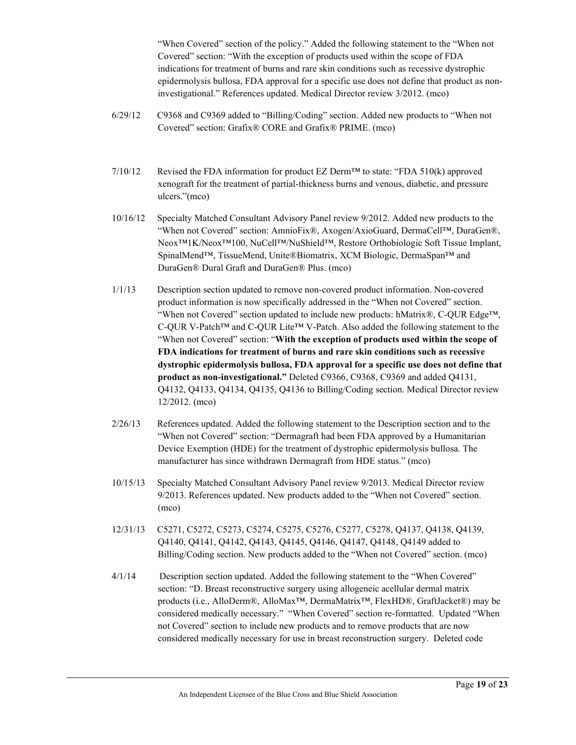"When Covered" section of the policy." Added the following statement to the "When not Covered" section: "With the exception of products used within the scope of FDA indications for treatment of burns and rare skin conditions such as recessive dystrophic epidermolysis bullosa, FDA approval for a specific use does not define that product as noninvestigational." References updated. Medical Director review 3/2012. (mco)

- 6/29/12 C9368 and C9369 added to "Billing/Coding" section. Added new products to "When not Covered" section: Grafix® CORE and Grafix® PRIME. (mco)
- $7/10/12$  Revised the FDA information for product EZ Derm<sup>™</sup> to state: "FDA 510(k) approved xenograft for the treatment of partial-thickness burns and venous, diabetic, and pressure ulcers."(mco)
- 10/16/12 Specialty Matched Consultant Advisory Panel review 9/2012. Added new products to the "When not Covered" section: AmnioFix®, Axogen/AxioGuard, DermaCell™, DuraGen®, Neox™1K/Neox™100, NuCell™/NuShield™, Restore Orthobiologic Soft Tissue Implant, SpinalMend™, TissueMend, Unite®Biomatrix, XCM Biologic, DermaSpan™ and DuraGen® Dural Graft and DuraGen® Plus. (mco)
- 1/1/13 Description section updated to remove non-covered product information. Non-covered product information is now specifically addressed in the "When not Covered" section. "When not Covered" section updated to include new products: hMatrix®, C-QUR Edge™, C-QUR V-Patch™ and C-QUR Lite™ V-Patch. Also added the following statement to the "When not Covered" section: "**With the exception of products used within the scope of FDA indications for treatment of burns and rare skin conditions such as recessive dystrophic epidermolysis bullosa, FDA approval for a specific use does not define that product as non-investigational."** Deleted C9366, C9368, C9369 and added Q4131, Q4132, Q4133, Q4134, Q4135, Q4136 to Billing/Coding section. Medical Director review 12/2012. (mco)
- 2/26/13 References updated. Added the following statement to the Description section and to the "When not Covered" section: "Dermagraft had been FDA approved by a Humanitarian Device Exemption (HDE) for the treatment of dystrophic epidermolysis bullosa. The manufacturer has since withdrawn Dermagraft from HDE status." (mco)
- 10/15/13 Specialty Matched Consultant Advisory Panel review 9/2013. Medical Director review 9/2013. References updated. New products added to the "When not Covered" section. (mco)
- 12/31/13 C5271, C5272, C5273, C5274, C5275, C5276, C5277, C5278, Q4137, Q4138, Q4139, Q4140, Q4141, Q4142, Q4143, Q4145, Q4146, Q4147, Q4148, Q4149 added to Billing/Coding section. New products added to the "When not Covered" section. (mco)
- 4/1/14 Description section updated. Added the following statement to the "When Covered" section: "D. Breast reconstructive surgery using allogeneic acellular dermal matrix products (i.e., AlloDerm®, AlloMax™, DermaMatrix™, FlexHD®, GraftJacket®) may be considered medically necessary." "When Covered" section re-formatted. Updated "When not Covered" section to include new products and to remove products that are now considered medically necessary for use in breast reconstruction surgery. Deleted code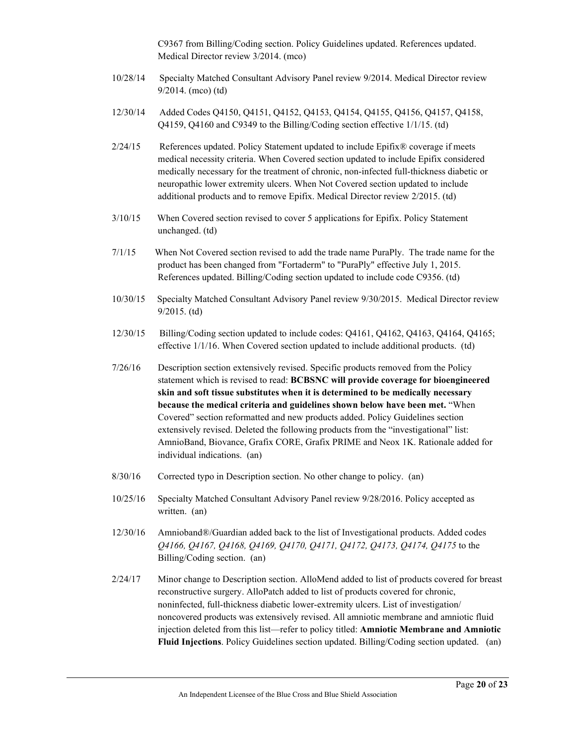C9367 from Billing/Coding section. Policy Guidelines updated. References updated. Medical Director review 3/2014. (mco)

- 10/28/14 Specialty Matched Consultant Advisory Panel review 9/2014. Medical Director review 9/2014. (mco) (td)
- 12/30/14 Added Codes Q4150, Q4151, Q4152, Q4153, Q4154, Q4155, Q4156, Q4157, Q4158, Q4159, Q4160 and C9349 to the Billing/Coding section effective 1/1/15. (td)
- $2/24/15$  References updated. Policy Statement updated to include Epifix<sup>®</sup> coverage if meets medical necessity criteria. When Covered section updated to include Epifix considered medically necessary for the treatment of chronic, non-infected full-thickness diabetic or neuropathic lower extremity ulcers. When Not Covered section updated to include additional products and to remove Epifix. Medical Director review 2/2015. (td)
- 3/10/15 When Covered section revised to cover 5 applications for Epifix. Policy Statement unchanged. (td)
- 7/1/15 When Not Covered section revised to add the trade name PuraPly. The trade name for the product has been changed from "Fortaderm" to "PuraPly" effective July 1, 2015. References updated. Billing/Coding section updated to include code C9356. (td)
- 10/30/15 Specialty Matched Consultant Advisory Panel review 9/30/2015. Medical Director review 9/2015. (td)
- 12/30/15 Billing/Coding section updated to include codes: Q4161, Q4162, Q4163, Q4164, Q4165; effective 1/1/16. When Covered section updated to include additional products. (td)
- 7/26/16 Description section extensively revised. Specific products removed from the Policy statement which is revised to read: **BCBSNC will provide coverage for bioengineered skin and soft tissue substitutes when it is determined to be medically necessary because the medical criteria and guidelines shown below have been met.** "When Covered" section reformatted and new products added. Policy Guidelines section extensively revised. Deleted the following products from the "investigational" list: AmnioBand, Biovance, Grafix CORE, Grafix PRIME and Neox 1K. Rationale added for individual indications. (an)
- 8/30/16 Corrected typo in Description section. No other change to policy. (an)
- 10/25/16 Specialty Matched Consultant Advisory Panel review 9/28/2016. Policy accepted as written. (an)
- 12/30/16 Amnioband®/Guardian added back to the list of Investigational products. Added codes *Q4166, Q4167, Q4168, Q4169, Q4170, Q4171, Q4172, Q4173, Q4174, Q4175* to the Billing/Coding section. (an)
- 2/24/17 Minor change to Description section. AlloMend added to list of products covered for breast reconstructive surgery. AlloPatch added to list of products covered for chronic, noninfected, full-thickness diabetic lower-extremity ulcers. List of investigation/ noncovered products was extensively revised. All amniotic membrane and amniotic fluid injection deleted from this list—refer to policy titled: **Amniotic Membrane and Amniotic Fluid Injections**. Policy Guidelines section updated. Billing/Coding section updated. (an)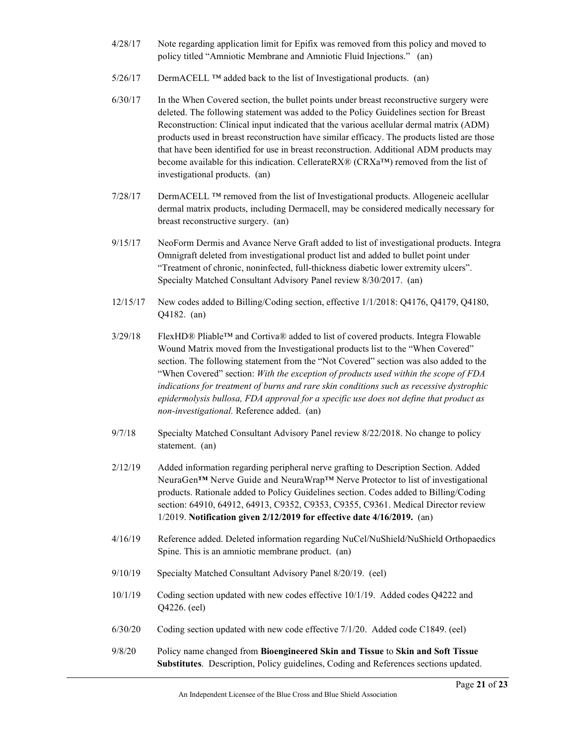- 4/28/17 Note regarding application limit for Epifix was removed from this policy and moved to policy titled "Amniotic Membrane and Amniotic Fluid Injections." (an)
- $5/26/17$  DermACELL <sup>TM</sup> added back to the list of Investigational products. (an)
- 6/30/17 In the When Covered section, the bullet points under breast reconstructive surgery were deleted. The following statement was added to the Policy Guidelines section for Breast Reconstruction: Clinical input indicated that the various acellular dermal matrix (ADM) products used in breast reconstruction have similar efficacy. The products listed are those that have been identified for use in breast reconstruction. Additional ADM products may become available for this indication. Cellerate RX® (CRXa<sup>™)</sup> removed from the list of investigational products. (an)
- 7/28/17 DermACELL ™ removed from the list of Investigational products. Allogeneic acellular dermal matrix products, including Dermacell, may be considered medically necessary for breast reconstructive surgery. (an)
- 9/15/17 NeoForm Dermis and Avance Nerve Graft added to list of investigational products. Integra Omnigraft deleted from investigational product list and added to bullet point under "Treatment of chronic, noninfected, full-thickness diabetic lower extremity ulcers". Specialty Matched Consultant Advisory Panel review 8/30/2017. (an)
- 12/15/17 New codes added to Billing/Coding section, effective 1/1/2018: Q4176, Q4179, Q4180, Q4182. (an)
- 3/29/18 FlexHD® Pliable™ and Cortiva® added to list of covered products. Integra Flowable Wound Matrix moved from the Investigational products list to the "When Covered" section. The following statement from the "Not Covered" section was also added to the "When Covered" section: *With the exception of products used within the scope of FDA indications for treatment of burns and rare skin conditions such as recessive dystrophic epidermolysis bullosa, FDA approval for a specific use does not define that product as non-investigational.* Reference added. (an)
- 9/7/18 Specialty Matched Consultant Advisory Panel review 8/22/2018. No change to policy statement. (an)
- 2/12/19 Added information regarding peripheral nerve grafting to Description Section. Added NeuraGen**™** Nerve Guide and NeuraWrap™ Nerve Protector to list of investigational products. Rationale added to Policy Guidelines section. Codes added to Billing/Coding section: 64910, 64912, 64913, C9352, C9353, C9355, C9361. Medical Director review 1/2019. **Notification given 2/12/2019 for effective date 4/16/2019.** (an)
- 4/16/19 Reference added. Deleted information regarding NuCel/NuShield/NuShield Orthopaedics Spine. This is an amniotic membrane product. (an)
- 9/10/19 Specialty Matched Consultant Advisory Panel 8/20/19. (eel)
- 10/1/19 Coding section updated with new codes effective 10/1/19. Added codes Q4222 and Q4226. (eel)
- 6/30/20 Coding section updated with new code effective 7/1/20. Added code C1849. (eel)
- 9/8/20 Policy name changed from **Bioengineered Skin and Tissue** to **Skin and Soft Tissue Substitutes**. Description, Policy guidelines, Coding and References sections updated.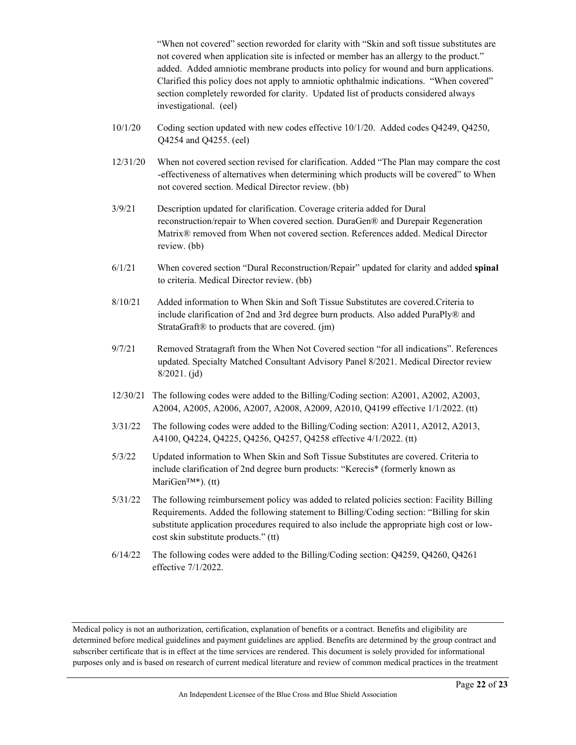"When not covered" section reworded for clarity with "Skin and soft tissue substitutes are not covered when application site is infected or member has an allergy to the product." added. Added amniotic membrane products into policy for wound and burn applications. Clarified this policy does not apply to amniotic ophthalmic indications. "When covered" section completely reworded for clarity. Updated list of products considered always investigational. (eel)

- 10/1/20 Coding section updated with new codes effective 10/1/20. Added codes Q4249, Q4250, Q4254 and Q4255. (eel)
- 12/31/20 When not covered section revised for clarification. Added "The Plan may compare the cost -effectiveness of alternatives when determining which products will be covered" to When not covered section. Medical Director review. (bb)
- 3/9/21 Description updated for clarification. Coverage criteria added for Dural reconstruction/repair to When covered section. DuraGen® and Durepair Regeneration Matrix® removed from When not covered section. References added. Medical Director review. (bb)
- 6/1/21 When covered section "Dural Reconstruction/Repair" updated for clarity and added **spinal** to criteria. Medical Director review. (bb)
- 8/10/21 Added information to When Skin and Soft Tissue Substitutes are covered.Criteria to include clarification of 2nd and 3rd degree burn products. Also added PuraPly® and StrataGraft® to products that are covered. (jm)
- 9/7/21 Removed Stratagraft from the When Not Covered section "for all indications". References updated. Specialty Matched Consultant Advisory Panel 8/2021. Medical Director review 8/2021. (jd)
- 12/30/21 The following codes were added to the Billing/Coding section: A2001, A2002, A2003, A2004, A2005, A2006, A2007, A2008, A2009, A2010, Q4199 effective 1/1/2022. (tt)
- 3/31/22 The following codes were added to the Billing/Coding section: A2011, A2012, A2013, A4100, Q4224, Q4225, Q4256, Q4257, Q4258 effective 4/1/2022. (tt)
- 5/3/22 Updated information to When Skin and Soft Tissue Substitutes are covered. Criteria to include clarification of 2nd degree burn products: "Kerecis\* (formerly known as MariGen™\*). (tt)
- 5/31/22 The following reimbursement policy was added to related policies section: Facility Billing Requirements. Added the following statement to Billing/Coding section: "Billing for skin substitute application procedures required to also include the appropriate high cost or lowcost skin substitute products." (tt)
- 6/14/22 The following codes were added to the Billing/Coding section: Q4259, Q4260, Q4261 effective 7/1/2022.

Medical policy is not an authorization, certification, explanation of benefits or a contract. Benefits and eligibility are determined before medical guidelines and payment guidelines are applied. Benefits are determined by the group contract and subscriber certificate that is in effect at the time services are rendered. This document is solely provided for informational purposes only and is based on research of current medical literature and review of common medical practices in the treatment